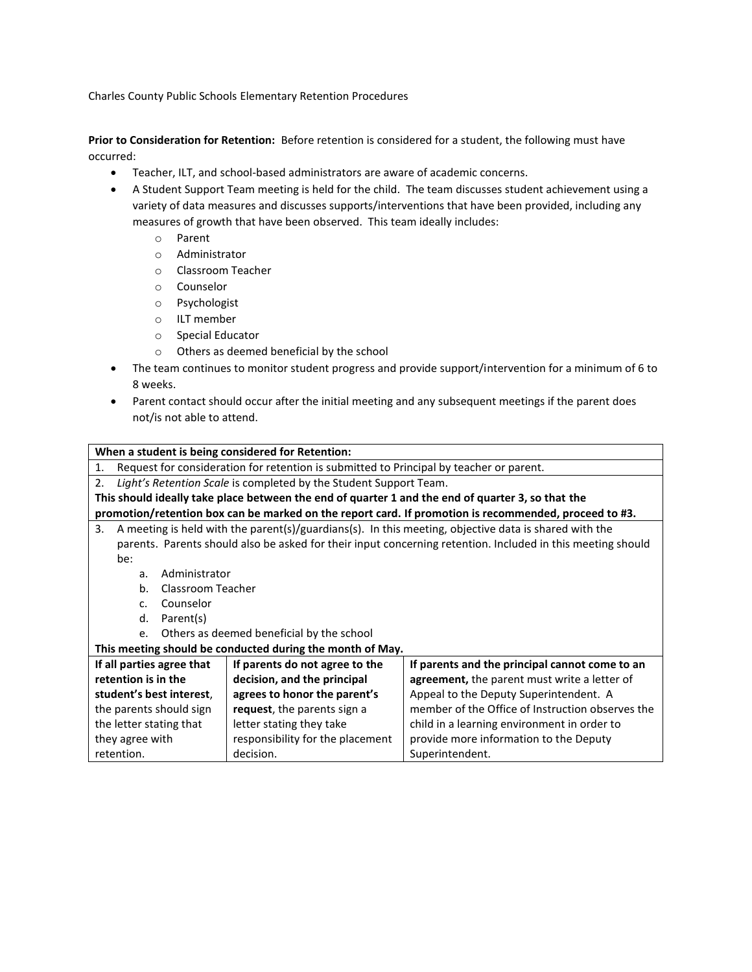Charles County Public Schools Elementary Retention Procedures

**Prior to Consideration for Retention:** Before retention is considered for a student, the following must have occurred:

- Teacher, ILT, and school-based administrators are aware of academic concerns.
- A Student Support Team meeting is held for the child. The team discusses student achievement using a variety of data measures and discusses supports/interventions that have been provided, including any measures of growth that have been observed. This team ideally includes:
	- o Parent
	- o Administrator
	- o Classroom Teacher
	- o Counselor
	- o Psychologist
	- o ILT member
	- o Special Educator
	- o Others as deemed beneficial by the school
- The team continues to monitor student progress and provide support/intervention for a minimum of 6 to 8 weeks.
- Parent contact should occur after the initial meeting and any subsequent meetings if the parent does not/is not able to attend.

| When a student is being considered for Retention:                                                           |                                  |                                                  |
|-------------------------------------------------------------------------------------------------------------|----------------------------------|--------------------------------------------------|
| Request for consideration for retention is submitted to Principal by teacher or parent.<br>1.               |                                  |                                                  |
| Light's Retention Scale is completed by the Student Support Team.<br>2.                                     |                                  |                                                  |
| This should ideally take place between the end of quarter 1 and the end of quarter 3, so that the           |                                  |                                                  |
| promotion/retention box can be marked on the report card. If promotion is recommended, proceed to #3.       |                                  |                                                  |
| A meeting is held with the parent(s)/guardians(s). In this meeting, objective data is shared with the<br>3. |                                  |                                                  |
| parents. Parents should also be asked for their input concerning retention. Included in this meeting should |                                  |                                                  |
| be:                                                                                                         |                                  |                                                  |
| Administrator<br>a.                                                                                         |                                  |                                                  |
| b <sub>1</sub><br>Classroom Teacher                                                                         |                                  |                                                  |
| Counselor<br>C <sub>1</sub>                                                                                 |                                  |                                                  |
| d.<br>Parent(s)                                                                                             |                                  |                                                  |
| Others as deemed beneficial by the school<br>e.                                                             |                                  |                                                  |
| This meeting should be conducted during the month of May.                                                   |                                  |                                                  |
| If all parties agree that                                                                                   | If parents do not agree to the   | If parents and the principal cannot come to an   |
| retention is in the                                                                                         | decision, and the principal      | agreement, the parent must write a letter of     |
| student's best interest.                                                                                    | agrees to honor the parent's     | Appeal to the Deputy Superintendent. A           |
| the parents should sign                                                                                     | request, the parents sign a      | member of the Office of Instruction observes the |
| the letter stating that                                                                                     | letter stating they take         | child in a learning environment in order to      |
| they agree with                                                                                             | responsibility for the placement | provide more information to the Deputy           |
| retention.                                                                                                  | decision.                        | Superintendent.                                  |